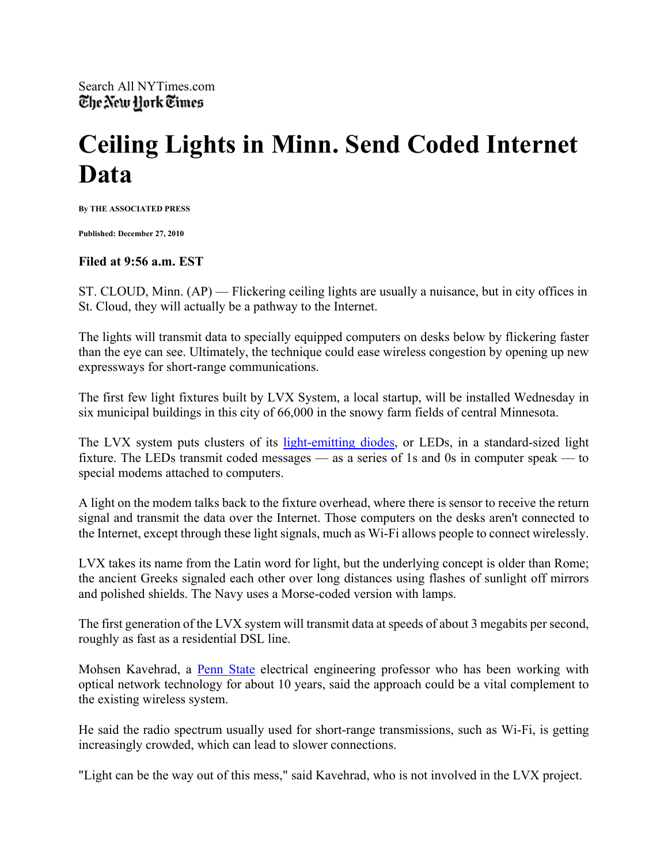## **Ceiling Lights in Minn. Send Coded Internet Data**

**By THE ASSOCIATED PRESS** 

**Published: December 27, 2010** 

## **Filed at 9:56 a.m. EST**

ST. CLOUD, Minn. (AP) — Flickering ceiling lights are usually a nuisance, but in city offices in St. Cloud, they will actually be a pathway to the Internet.

The lights will transmit data to specially equipped computers on desks below by flickering faster than the eye can see. Ultimately, the technique could ease wireless congestion by opening up new expressways for short-range communications.

The first few light fixtures built by LVX System, a local startup, will be installed Wednesday in six municipal buildings in this city of 66,000 in the snowy farm fields of central Minnesota.

The LVX system puts clusters of its light-emitting diodes, or LEDs, in a standard-sized light fixture. The LEDs transmit coded messages — as a series of 1s and 0s in computer speak — to special modems attached to computers.

A light on the modem talks back to the fixture overhead, where there is sensor to receive the return signal and transmit the data over the Internet. Those computers on the desks aren't connected to the Internet, except through these light signals, much as Wi-Fi allows people to connect wirelessly.

LVX takes its name from the Latin word for light, but the underlying concept is older than Rome; the ancient Greeks signaled each other over long distances using flashes of sunlight off mirrors and polished shields. The Navy uses a Morse-coded version with lamps.

The first generation of the LVX system will transmit data at speeds of about 3 megabits per second, roughly as fast as a residential DSL line.

Mohsen Kavehrad, a Penn State electrical engineering professor who has been working with optical network technology for about 10 years, said the approach could be a vital complement to the existing wireless system.

He said the radio spectrum usually used for short-range transmissions, such as Wi-Fi, is getting increasingly crowded, which can lead to slower connections.

"Light can be the way out of this mess," said Kavehrad, who is not involved in the LVX project.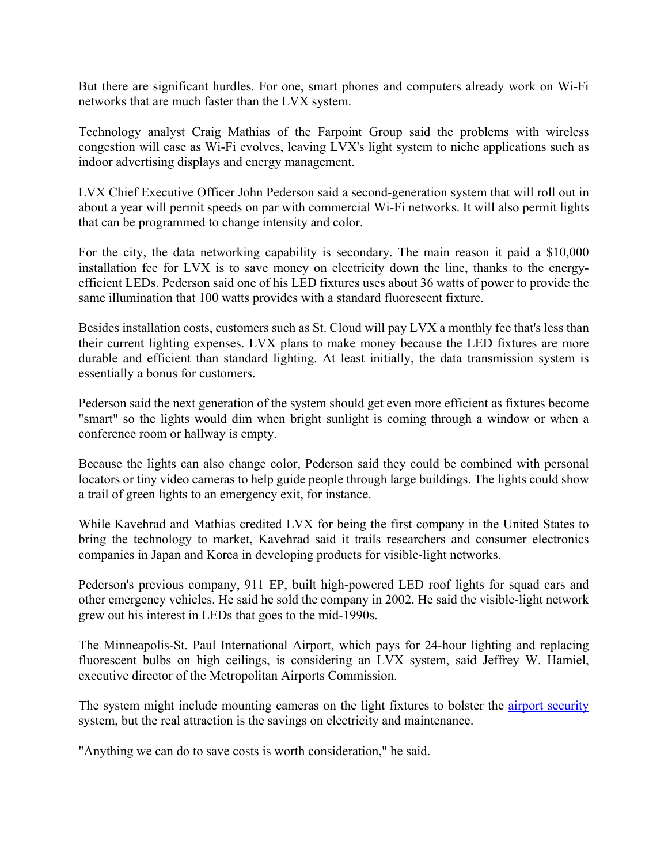But there are significant hurdles. For one, smart phones and computers already work on Wi-Fi networks that are much faster than the LVX system.

Technology analyst Craig Mathias of the Farpoint Group said the problems with wireless congestion will ease as Wi-Fi evolves, leaving LVX's light system to niche applications such as indoor advertising displays and energy management.

LVX Chief Executive Officer John Pederson said a second-generation system that will roll out in about a year will permit speeds on par with commercial Wi-Fi networks. It will also permit lights that can be programmed to change intensity and color.

For the city, the data networking capability is secondary. The main reason it paid a \$10,000 installation fee for LVX is to save money on electricity down the line, thanks to the energyefficient LEDs. Pederson said one of his LED fixtures uses about 36 watts of power to provide the same illumination that 100 watts provides with a standard fluorescent fixture.

Besides installation costs, customers such as St. Cloud will pay LVX a monthly fee that's less than their current lighting expenses. LVX plans to make money because the LED fixtures are more durable and efficient than standard lighting. At least initially, the data transmission system is essentially a bonus for customers.

Pederson said the next generation of the system should get even more efficient as fixtures become "smart" so the lights would dim when bright sunlight is coming through a window or when a conference room or hallway is empty.

Because the lights can also change color, Pederson said they could be combined with personal locators or tiny video cameras to help guide people through large buildings. The lights could show a trail of green lights to an emergency exit, for instance.

While Kavehrad and Mathias credited LVX for being the first company in the United States to bring the technology to market, Kavehrad said it trails researchers and consumer electronics companies in Japan and Korea in developing products for visible-light networks.

Pederson's previous company, 911 EP, built high-powered LED roof lights for squad cars and other emergency vehicles. He said he sold the company in 2002. He said the visible-light network grew out his interest in LEDs that goes to the mid-1990s.

The Minneapolis-St. Paul International Airport, which pays for 24-hour lighting and replacing fluorescent bulbs on high ceilings, is considering an LVX system, said Jeffrey W. Hamiel, executive director of the Metropolitan Airports Commission.

The system might include mounting cameras on the light fixtures to bolster the airport security system, but the real attraction is the savings on electricity and maintenance.

"Anything we can do to save costs is worth consideration," he said.